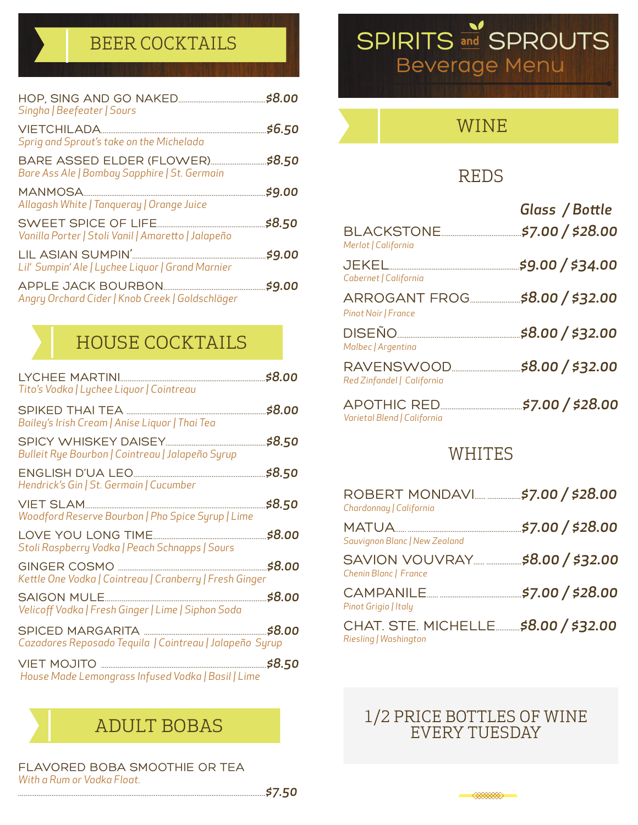### BEER COCKTAILS

| Singha   Beefeater   Sours                                                 |        |
|----------------------------------------------------------------------------|--------|
| Sprig and Sprout's take on the Michelada                                   | \$6.50 |
| BARE ASSED ELDER (FLOWER)<br>Bare Ass Ale   Bombay Sapphire   St. Germain  | \$8.50 |
| Allagash White   Tanqueray   Orange Juice                                  | \$9.00 |
| SWEET SPICE OF LIFE.<br>Vanilla Porter   Stoli Vanil   Amaretto   Jalapeño | \$8.50 |
| LIL ASIAN SUMPIN'.<br>Lil' Sumpin' Ale   Lychee Liquor   Grand Marnier     | \$9.00 |
| Angry Orchard Cider   Knob Creek   Goldschläger                            | \$9.00 |

### HOUSE COCKTAILS

| Tito's Vodka   Lychee Liquor   Cointreau                          |        |
|-------------------------------------------------------------------|--------|
| Bailey's Irish Cream   Anise Liquor   Thai Tea                    | \$8.00 |
| Bulleit Rye Bourbon   Cointreau   Jalapeño Syrup                  | \$8.50 |
| Hendrick's Gin   St. Germain   Cucumber                           | \$8.50 |
| Woodford Reserve Bourbon   Pho Spice Syrup   Lime                 | \$8.50 |
| Stoli Raspberry Vodka   Peach Schnapps   Sours                    |        |
| Kettle One Vodka   Cointreau   Cranberry   Fresh Ginger           | \$8.00 |
| SAIGON MULE<br>Velicoff Vodka   Fresh Ginger   Lime   Siphon Soda |        |
| Cazadores Reposado Tequila   Cointreau   Jalapeño Syrup           |        |
| House Made Lemongrass Infused Vodka   Basil   Lime                |        |

FLAVORED BOBA SMOOTHIE OR TEA *With a Rum or Vodka Float.*



### REDS

| <b>BLACKSTONE</b>                                      | Glass / Bottle<br>\$7.00 / \$28.00 |
|--------------------------------------------------------|------------------------------------|
| Merlot   California<br>JEKEL.<br>Cabernet   California | \$9.00 / \$34.00                   |
| ARROGANT FROG<br>Pinot Noir   France                   | \$8.00 / \$32.00                   |
| <b>DISEÑO</b><br>Malbec   Argentina                    | \$8.00 / \$32.00                   |
| RAVENSWOOD.<br>Red Zinfandel   California              | \$8.00 / \$32.00                   |
| <b>APOTHIC RED.</b>                                    | \$7.00 / \$28.00                   |

#### WHITES

*Varietal Blend | California* 

| Chardonnay   California                                       |                  |
|---------------------------------------------------------------|------------------|
| Sauvignon Blanc   New Zealand                                 | \$7.00 / \$28.00 |
| SAVION VOUVRAY<br>Chenin Blanc   France                       | \$8.00 / \$32.00 |
| Pinot Grigio   Italy                                          | 57.00 / \$28.00  |
| CHAT. STE. MICHELLE \$8.00 / \$32.00<br>Riesling   Washington |                  |

# ADULT BOBAS 1/2 PRICE BOTTLES OF WINE

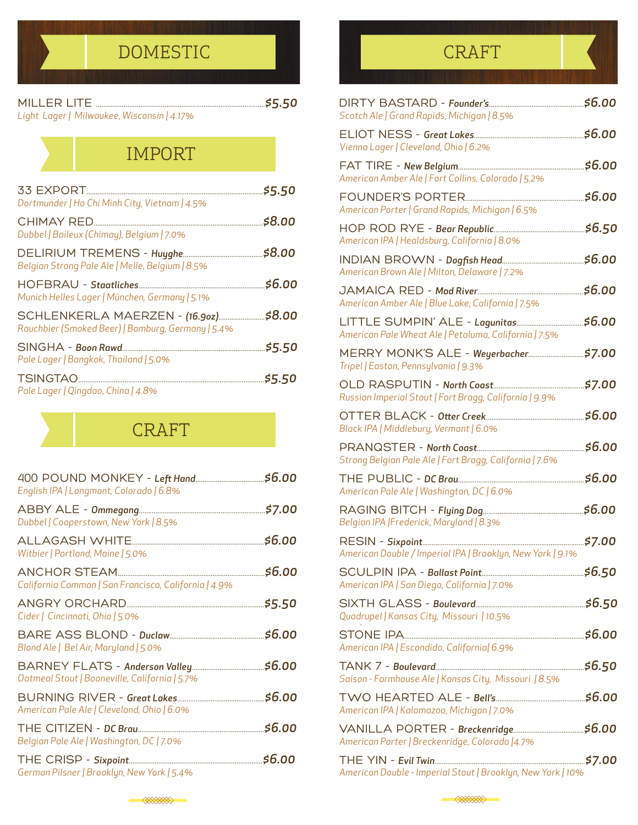### DOMESTIC Report of the creation of the creation of the creation of the creation of the creation of the creation

| Light Lager   Milwaukee, Wisconsin   4.17% |  |
|--------------------------------------------|--|

### IMPORT

| Dortmunder   Ho Chi Minh City, Vietnam   4.5%                                       | \$5.50 |
|-------------------------------------------------------------------------------------|--------|
| CHIMAY RED<br>Dubbel   Baileux (Chimay), Belgium   7.0%                             | \$8.00 |
| Belgian Strong Pale Ale   Melle, Belgium   8.5%                                     | \$8.00 |
| Munich Helles Lager   München, Germany   5.1%                                       | \$6.00 |
| SCHLENKERLA MAERZEN - (16.90z)<br>Rauchbier (Smoked Beer)   Bamburg, Germany   5.4% | \$8.00 |
| Pale Lager   Bangkok, Thailand   5.0%                                               | \$5.50 |
| Pale Lager   Qingdao, China   4.8%                                                  | \$5.50 |

### CRAFT

| English IPA   Longmont, Colorado   6.8%              |        |
|------------------------------------------------------|--------|
| Dubbel   Cooperstown, New York   8.5%                | \$7.00 |
| Witbier   Portland, Maine   5.0%                     | \$6.00 |
| California Common   San Francisco, California   4.9% | \$6.00 |
| Cider   Cincinnati, Ohio   5.0%                      | \$5.50 |
| Blond Ale   Bel Air, Maryland   5.0%                 |        |
| Oatmeal Stout   Booneville, California   5.7%        |        |
| American Pale Ale   Cleveland, Ohio   6.0%           | \$6.00 |
| Belgian Pale Ale   Washington, DC   7.0%             | \$6.00 |
| German Pilsner   Brooklyn, New York   5.4%           | \$6.00 |
|                                                      |        |



| DIRTY BASTARD - Founder's<br>Scotch Ale   Grand Rapids, Michigan   8.5%                      | \$6.00  |
|----------------------------------------------------------------------------------------------|---------|
| Vienna Lager   Cleveland, Ohio   6.2%                                                        | \$6.00  |
| American Amber Ale   Fort Collins, Colorado   5.2%                                           | \$6.00  |
| American Porter   Grand Rapids, Michigan   6.5%                                              | \$6.00  |
| American IPA   Healdsburg, California   8.0%                                                 | \$6.50  |
| American Brown Ale   Milton, Delaware   7.2%                                                 | \$6.00  |
| American Amber Ale   Blue Lake, California   7.5%                                            | \$6.00  |
| LITTLE SUMPIN' ALE - Lagunitas<br>American Pale Wheat Ale   Petaluma, California   7.5%      | \$6.00  |
| MERRY MONK'S ALE - Weyerbacher<br>Tripel   Easton, Pennsylvania   9.3%                       | \$7.00  |
| Russian Imperial Stout   Fort Bragg, California   9.9%                                       | \$7.00  |
| Black IPA   Middlebury, Vermont   6.0%                                                       | \$6.00  |
|                                                                                              |         |
|                                                                                              | \$6.00  |
| Strong Belgian Pale Ale   Fort Bragg, California   7.6%                                      | \$6.00  |
| American Pale Ale   Washington, DC   6.0%<br>Belgian IPA   Frederick, Maryland   8.3%        | \$6.00  |
| American Double / Imperial IPA   Brooklyn, New York   9.1%                                   | .\$7.00 |
|                                                                                              |         |
| American IPA   San Diego, California   7.0%<br>Quadrupel   Kansas City, Missouri   10.5%     |         |
|                                                                                              |         |
| American IPA   Escondido, California  6.9%                                                   |         |
| Saison - Farmhouse Ale   Kansas City, Missouri   8.5%                                        |         |
| American IPA   Kalamazoo, Michigan   7.0%<br>American Porter   Breckenridge, Colorado   4.7% |         |